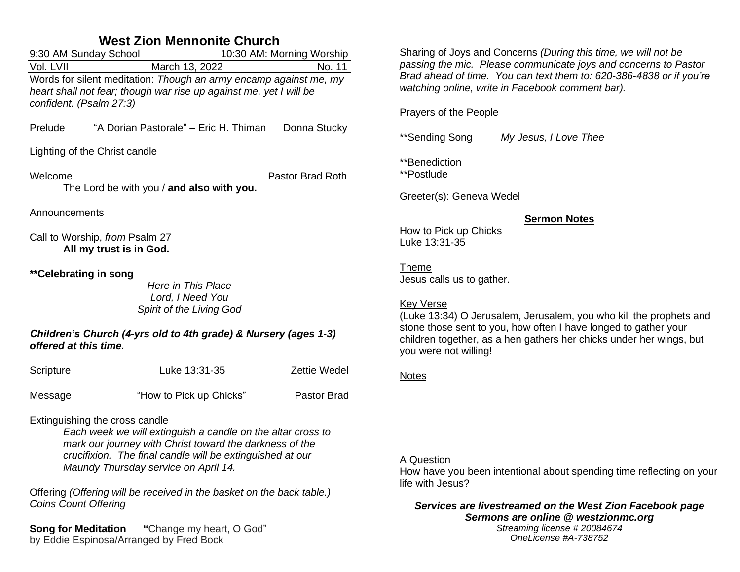# **West Zion Mennonite Church**

|                                                                                                                                                                    | 9:30 AM Sunday School<br>10:30 AM: Morning Worship                 |                     |  |  |
|--------------------------------------------------------------------------------------------------------------------------------------------------------------------|--------------------------------------------------------------------|---------------------|--|--|
| Vol. LVII                                                                                                                                                          | March 13, 2022                                                     | No. 11              |  |  |
| Words for silent meditation: Though an army encamp against me, my<br>heart shall not fear; though war rise up against me, yet I will be<br>confident. (Psalm 27:3) |                                                                    |                     |  |  |
| Prelude                                                                                                                                                            | "A Dorian Pastorale" - Eric H. Thiman                              | Donna Stucky        |  |  |
| Lighting of the Christ candle                                                                                                                                      |                                                                    |                     |  |  |
| Welcome<br>Pastor Brad Roth<br>The Lord be with you / and also with you.                                                                                           |                                                                    |                     |  |  |
| Announcements                                                                                                                                                      |                                                                    |                     |  |  |
| Call to Worship, from Psalm 27<br>All my trust is in God.                                                                                                          |                                                                    |                     |  |  |
| **Celebrating in song                                                                                                                                              | Here in This Place<br>Lord, I Need You<br>Spirit of the Living God |                     |  |  |
| Children's Church (4-yrs old to 4th grade) & Nursery (ages 1-3)<br>offered at this time.                                                                           |                                                                    |                     |  |  |
| Scripture                                                                                                                                                          | Luke 13:31-35                                                      | <b>Zettie Wedel</b> |  |  |
| Message                                                                                                                                                            | "How to Pick up Chicks"                                            | Pastor Brad         |  |  |
| $\Gamma$ ytinguriahing tha araaa aanala                                                                                                                            |                                                                    |                     |  |  |

Extinguishing the cross candle

*Each week we will extinguish a candle on the altar cross to mark our journey with Christ toward the darkness of the crucifixion. The final candle will be extinguished at our Maundy Thursday service on April 14.*

Offering *(Offering will be received in the basket on the back table.) Coins Count Offering*

**Song for Meditation "**Change my heart, O God" by Eddie Espinosa/Arranged by Fred Bock

Sharing of Joys and Concerns *(During this time, we will not be passing the mic. Please communicate joys and concerns to Pastor Brad ahead of time. You can text them to: 620-386-4838 or if you're watching online, write in Facebook comment bar).*

Prayers of the People

\*\*Sending Song *My Jesus, I Love Thee*

\*\*Benediction

\*\*Postlude

Greeter(s): Geneva Wedel

#### **Sermon Notes**

How to Pick up Chicks Luke 13:31-35

Theme Jesus calls us to gather.

### Key Verse

(Luke 13:34) O Jerusalem, Jerusalem, you who kill the prophets and stone those sent to you, how often I have longed to gather your children together, as a hen gathers her chicks under her wings, but you were not willing!

### **Notes**

## A Question

How have you been intentional about spending time reflecting on your life with Jesus?

#### *Services are livestreamed on the West Zion Facebook page Sermons are online @ westzionmc.org Streaming license # 20084674 OneLicense #A-738752*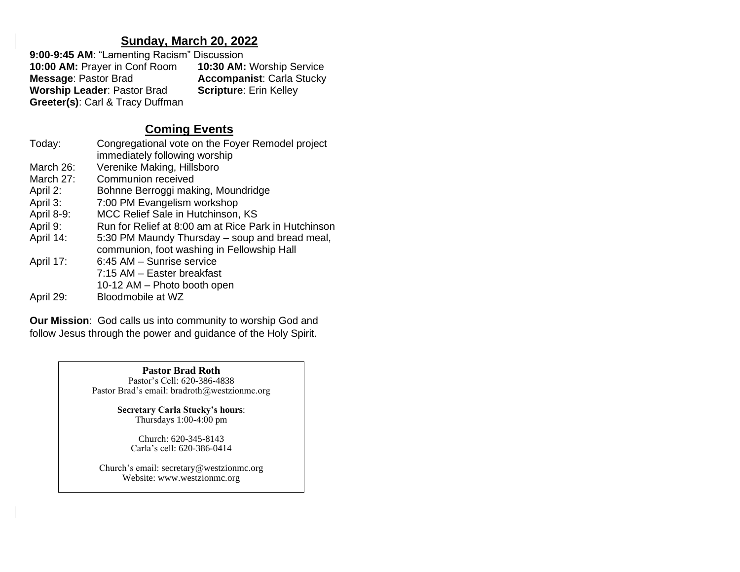## **Sunday, March 20, 2022**

**9:00-9:45 AM**: "Lamenting Racism" Discussion **10:00 AM:** Prayer in Conf Room **10:30 AM:** Worship Service **Accompanist: Carla Stucky<br><b>Scripture:** Erin Kelley **Worship Leader: Pastor Brad Greeter(s)**: Carl & Tracy Duffman

# **Coming Events**

| Congregational vote on the Foyer Remodel project<br>immediately following worship            |
|----------------------------------------------------------------------------------------------|
| Verenike Making, Hillsboro                                                                   |
| Communion received                                                                           |
| Bohnne Berroggi making, Moundridge                                                           |
| 7:00 PM Evangelism workshop                                                                  |
| MCC Relief Sale in Hutchinson, KS                                                            |
| Run for Relief at 8:00 am at Rice Park in Hutchinson                                         |
| 5:30 PM Maundy Thursday – soup and bread meal,<br>communion, foot washing in Fellowship Hall |
| 6:45 AM - Sunrise service                                                                    |
| 7:15 AM - Easter breakfast                                                                   |
| 10-12 AM - Photo booth open                                                                  |
| Bloodmobile at WZ                                                                            |
|                                                                                              |

**Our Mission**: God calls us into community to worship God and follow Jesus through the power and guidance of the Holy Spirit.

> **Pastor Brad Roth** Pastor's Cell: 620-386-4838 Pastor Brad's email: bradroth@westzionmc.org

> > **Secretary Carla Stucky's hours**: Thursdays 1:00-4:00 pm

> > > Church: 620-345-8143 Carla's cell: 620-386-0414

Church's email: secretary@westzionmc.org Website: www.westzionmc.org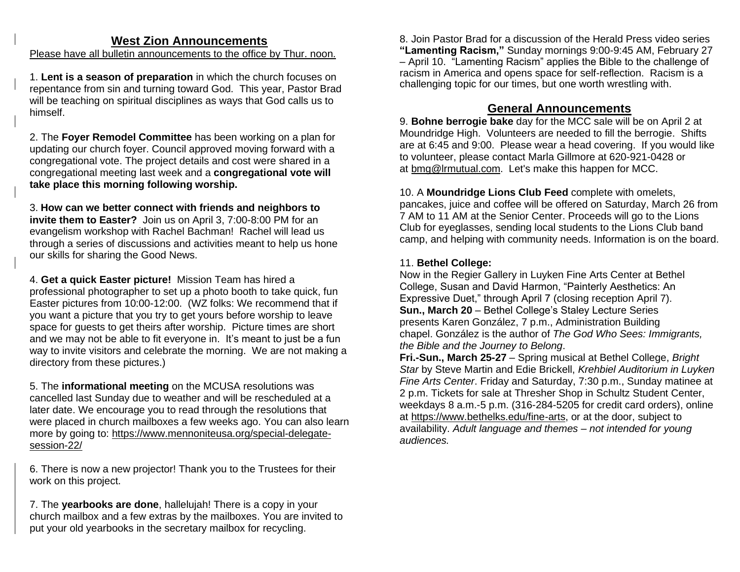## **West Zion Announcements**

Please have all bulletin announcements to the office by Thur. noon.

1. **Lent is a season of preparation** in which the church focuses on repentance from sin and turning toward God. This year, Pastor Brad will be teaching on spiritual disciplines as ways that God calls us to himself.

2. The **Foyer Remodel Committee** has been working on a plan for updating our church foyer. Council approved moving forward with a congregational vote. The project details and cost were shared in a congregational meeting last week and a **congregational vote will take place this morning following worship.**

3. **How can we better connect with friends and neighbors to invite them to Easter?** Join us on April 3, 7:00-8:00 PM for an evangelism workshop with Rachel Bachman! Rachel will lead us through a series of discussions and activities meant to help us hone our skills for sharing the Good News.

4. **Get a quick Easter picture!** Mission Team has hired a professional photographer to set up a photo booth to take quick, fun Easter pictures from 10:00-12:00. (WZ folks: We recommend that if you want a picture that you try to get yours before worship to leave space for guests to get theirs after worship. Picture times are short and we may not be able to fit everyone in. It's meant to just be a fun way to invite visitors and celebrate the morning. We are not making a directory from these pictures.)

5. The **informational meeting** on the MCUSA resolutions was cancelled last Sunday due to weather and will be rescheduled at a later date. We encourage you to read through the resolutions that were placed in church mailboxes a few weeks ago. You can also learn more by going to: [https://www.mennoniteusa.org/special-delegate](https://www.mennoniteusa.org/special-delegate-session-22/)[session-22/](https://www.mennoniteusa.org/special-delegate-session-22/)

6. There is now a new projector! Thank you to the Trustees for their work on this project.

7. The **yearbooks are done**, hallelujah! There is a copy in your church mailbox and a few extras by the mailboxes. You are invited to put your old yearbooks in the secretary mailbox for recycling.

8. Join Pastor Brad for a discussion of the Herald Press video series **"Lamenting Racism,"** Sunday mornings 9:00-9:45 AM, February 27 – April 10. "Lamenting Racism" applies the Bible to the challenge of racism in America and opens space for self-reflection. Racism is a challenging topic for our times, but one worth wrestling with.

# **General Announcements**

9. **Bohne berrogie bake** day for the MCC sale will be on April 2 at Moundridge High. Volunteers are needed to fill the berrogie. Shifts are at 6:45 and 9:00. Please wear a head covering. If you would like to volunteer, please contact Marla Gillmore at 620-921-0428 or at [bmg@lrmutual.com.](mailto:bmg@lrmutual.com) Let's make this happen for MCC.

10. A **Moundridge Lions Club Feed** complete with omelets, pancakes, juice and coffee will be offered on Saturday, March 26 from 7 AM to 11 AM at the Senior Center. Proceeds will go to the Lions Club for eyeglasses, sending local students to the Lions Club band camp, and helping with community needs. Information is on the board.

### 11. **Bethel College:**

Now in the Regier Gallery in Luyken Fine Arts Center at Bethel College, Susan and David Harmon, "Painterly Aesthetics: An Expressive Duet," through April 7 (closing reception April 7). **Sun., March 20** – Bethel College's Staley Lecture Series presents Karen González, 7 p.m., Administration Building chapel. González is the author of *The God Who Sees: Immigrants, the Bible and the Journey to Belong*.

**Fri.-Sun., March 25-27** – Spring musical at Bethel College, *Bright Star* by Steve Martin and Edie Brickell, *Krehbiel Auditorium in Luyken Fine Arts Center*. Friday and Saturday, 7:30 p.m., Sunday matinee at 2 p.m. Tickets for sale at Thresher Shop in Schultz Student Center, weekdays 8 a.m.-5 p.m. (316-284-5205 for credit card orders), online at [https://www.bethelks.edu/fine-arts,](https://www.bethelks.edu/fine-arts) or at the door, subject to availability. *Adult language and themes – not intended for young audiences.*